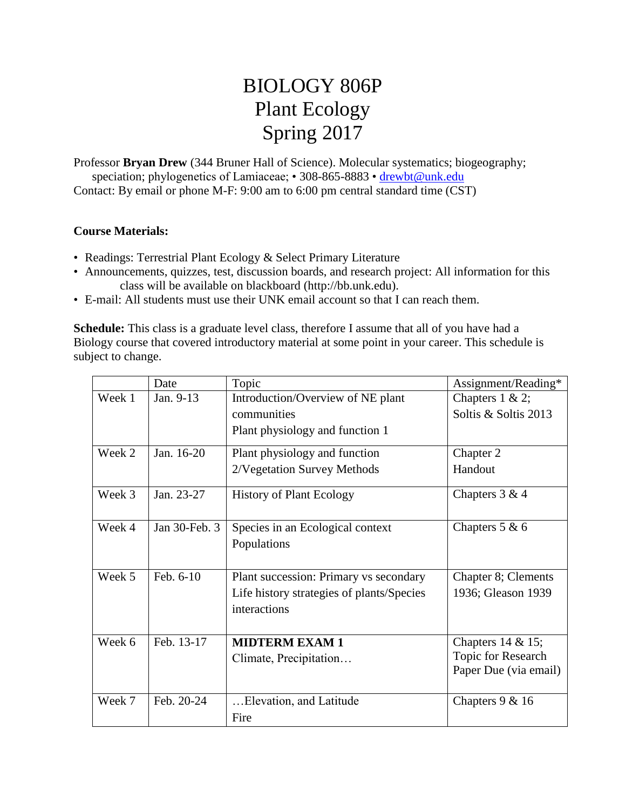## BIOLOGY 806P Plant Ecology Spring 2017

Professor **Bryan Drew** (344 Bruner Hall of Science). Molecular systematics; biogeography; speciation; phylogenetics of Lamiaceae; • 308-865-8883 • [drewbt@unk.edu](mailto:drewbt@unk.edu) Contact: By email or phone M-F: 9:00 am to 6:00 pm central standard time (CST)

## **Course Materials:**

- Readings: Terrestrial Plant Ecology & Select Primary Literature
- Announcements, quizzes, test, discussion boards, and research project: All information for this class will be available on blackboard (http://bb.unk.edu).
- E-mail: All students must use their UNK email account so that I can reach them.

**Schedule:** This class is a graduate level class, therefore I assume that all of you have had a Biology course that covered introductory material at some point in your career. This schedule is subject to change.

|        | Date          | Topic                                     | Assignment/Reading*   |
|--------|---------------|-------------------------------------------|-----------------------|
| Week 1 | Jan. 9-13     | Introduction/Overview of NE plant         | Chapters $1 & 2$ ;    |
|        |               | communities                               | Soltis & Soltis 2013  |
|        |               | Plant physiology and function 1           |                       |
| Week 2 | Jan. 16-20    | Plant physiology and function             | Chapter 2             |
|        |               | 2/Vegetation Survey Methods               | Handout               |
| Week 3 | Jan. 23-27    | <b>History of Plant Ecology</b>           | Chapters $3 & 4$      |
| Week 4 | Jan 30-Feb. 3 | Species in an Ecological context          | Chapters $5 & 6$      |
|        |               | Populations                               |                       |
| Week 5 | Feb. 6-10     | Plant succession: Primary vs secondary    | Chapter 8; Clements   |
|        |               | Life history strategies of plants/Species | 1936; Gleason 1939    |
|        |               | interactions                              |                       |
|        |               |                                           |                       |
| Week 6 | Feb. 13-17    | <b>MIDTERM EXAM 1</b>                     | Chapters $14 & 15$ ;  |
|        |               | Climate, Precipitation                    | Topic for Research    |
|        |               |                                           | Paper Due (via email) |
| Week 7 | Feb. 20-24    | Elevation, and Latitude                   | Chapters $9 & 16$     |
|        |               | Fire                                      |                       |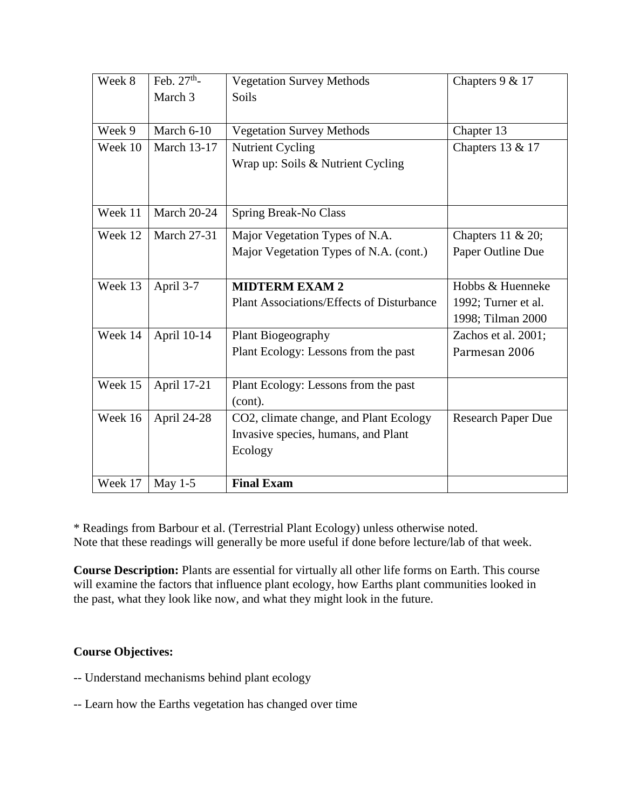| Week 8  | Feb. $27th$ -      | <b>Vegetation Survey Methods</b>                 | Chapters 9 & 17           |
|---------|--------------------|--------------------------------------------------|---------------------------|
|         | March 3            | Soils                                            |                           |
|         |                    |                                                  |                           |
| Week 9  | March 6-10         | <b>Vegetation Survey Methods</b>                 | Chapter 13                |
| Week 10 | <b>March 13-17</b> | Nutrient Cycling                                 | Chapters 13 & 17          |
|         |                    | Wrap up: Soils & Nutrient Cycling                |                           |
|         |                    |                                                  |                           |
|         |                    |                                                  |                           |
| Week 11 | <b>March 20-24</b> | Spring Break-No Class                            |                           |
| Week 12 | <b>March 27-31</b> | Major Vegetation Types of N.A.                   | Chapters $11 \& 20$ ;     |
|         |                    | Major Vegetation Types of N.A. (cont.)           | Paper Outline Due         |
|         |                    |                                                  |                           |
| Week 13 | April 3-7          | <b>MIDTERM EXAM 2</b>                            | Hobbs & Huenneke          |
|         |                    | <b>Plant Associations/Effects of Disturbance</b> | 1992; Turner et al.       |
|         |                    |                                                  | 1998; Tilman 2000         |
| Week 14 | April 10-14        | Plant Biogeography                               | Zachos et al. 2001;       |
|         |                    | Plant Ecology: Lessons from the past             | Parmesan 2006             |
|         |                    |                                                  |                           |
| Week 15 | April 17-21        | Plant Ecology: Lessons from the past             |                           |
|         |                    | (cont).                                          |                           |
| Week 16 | April 24-28        | CO2, climate change, and Plant Ecology           | <b>Research Paper Due</b> |
|         |                    | Invasive species, humans, and Plant              |                           |
|         |                    | Ecology                                          |                           |
|         |                    |                                                  |                           |
| Week 17 | May $1-5$          | <b>Final Exam</b>                                |                           |

\* Readings from Barbour et al. (Terrestrial Plant Ecology) unless otherwise noted. Note that these readings will generally be more useful if done before lecture/lab of that week.

**Course Description:** Plants are essential for virtually all other life forms on Earth. This course will examine the factors that influence plant ecology, how Earths plant communities looked in the past, what they look like now, and what they might look in the future.

## **Course Objectives:**

- -- Understand mechanisms behind plant ecology
- -- Learn how the Earths vegetation has changed over time